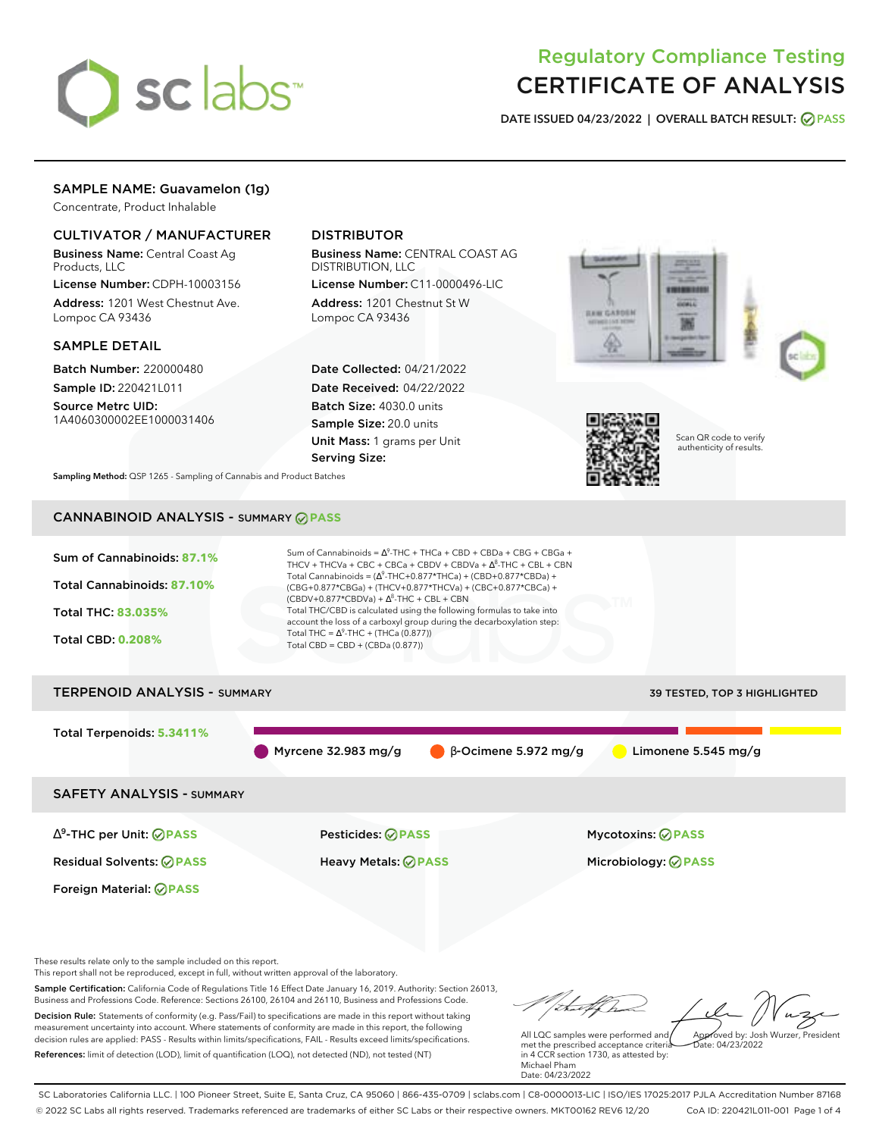

# Regulatory Compliance Testing CERTIFICATE OF ANALYSIS

**DATE ISSUED 04/23/2022 | OVERALL BATCH RESULT: PASS**

## SAMPLE NAME: Guavamelon (1g)

Concentrate, Product Inhalable

## CULTIVATOR / MANUFACTURER

Business Name: Central Coast Ag Products, LLC

License Number: CDPH-10003156 Address: 1201 West Chestnut Ave. Lompoc CA 93436

#### SAMPLE DETAIL

Batch Number: 220000480 Sample ID: 220421L011

Source Metrc UID: 1A4060300002EE1000031406

## DISTRIBUTOR

Business Name: CENTRAL COAST AG DISTRIBUTION, LLC

License Number: C11-0000496-LIC Address: 1201 Chestnut St W Lompoc CA 93436

Date Collected: 04/21/2022 Date Received: 04/22/2022 Batch Size: 4030.0 units Sample Size: 20.0 units Unit Mass: 1 grams per Unit Serving Size:





Scan QR code to verify authenticity of results.

**Sampling Method:** QSP 1265 - Sampling of Cannabis and Product Batches

## CANNABINOID ANALYSIS - SUMMARY **PASS**



This report shall not be reproduced, except in full, without written approval of the laboratory.

Sample Certification: California Code of Regulations Title 16 Effect Date January 16, 2019. Authority: Section 26013, Business and Professions Code. Reference: Sections 26100, 26104 and 26110, Business and Professions Code. Decision Rule: Statements of conformity (e.g. Pass/Fail) to specifications are made in this report without taking measurement uncertainty into account. Where statements of conformity are made in this report, the following decision rules are applied: PASS - Results within limits/specifications, FAIL - Results exceed limits/specifications.

References: limit of detection (LOD), limit of quantification (LOQ), not detected (ND), not tested (NT)

tu of h Approved by: Josh Wurzer, President

 $hat: 04/23/2022$ 

All LQC samples were performed and met the prescribed acceptance criteria in 4 CCR section 1730, as attested by: Michael Pham Date: 04/23/2022

SC Laboratories California LLC. | 100 Pioneer Street, Suite E, Santa Cruz, CA 95060 | 866-435-0709 | sclabs.com | C8-0000013-LIC | ISO/IES 17025:2017 PJLA Accreditation Number 87168 © 2022 SC Labs all rights reserved. Trademarks referenced are trademarks of either SC Labs or their respective owners. MKT00162 REV6 12/20 CoA ID: 220421L011-001 Page 1 of 4